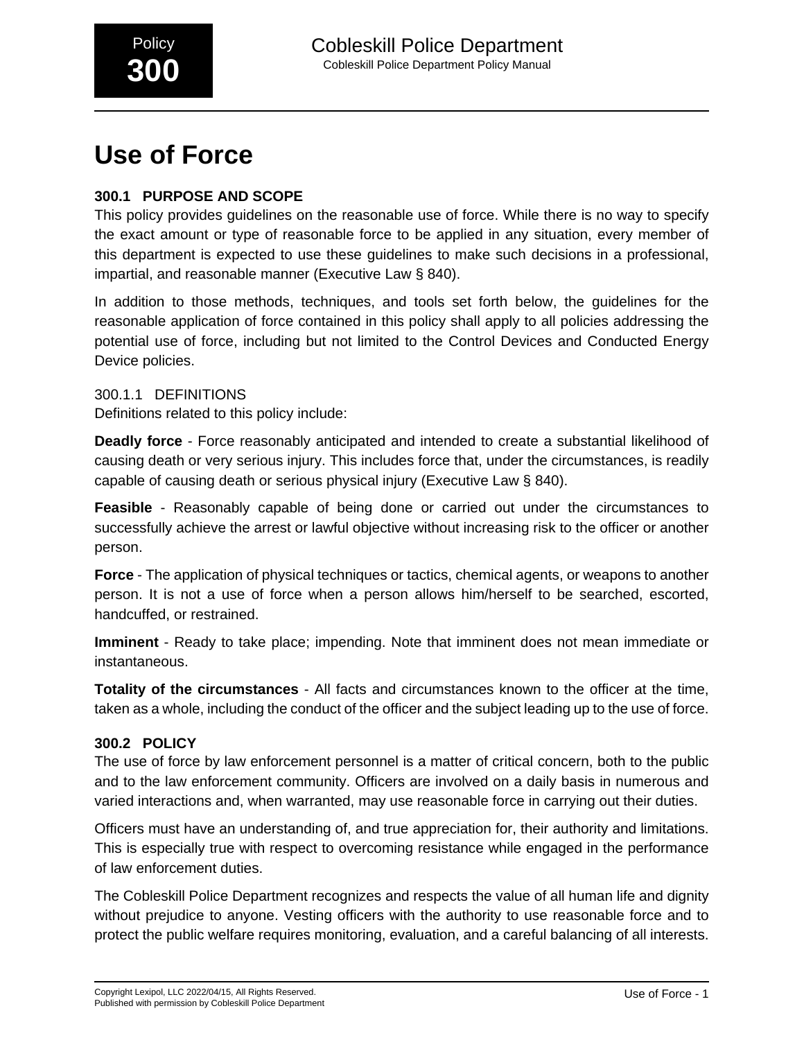# **Use of Force**

# **300.1 PURPOSE AND SCOPE**

This policy provides guidelines on the reasonable use of force. While there is no way to specify the exact amount or type of reasonable force to be applied in any situation, every member of this department is expected to use these guidelines to make such decisions in a professional, impartial, and reasonable manner (Executive Law § 840).

In addition to those methods, techniques, and tools set forth below, the guidelines for the reasonable application of force contained in this policy shall apply to all policies addressing the potential use of force, including but not limited to the Control Devices and Conducted Energy Device policies.

300.1.1 DEFINITIONS Definitions related to this policy include:

**Deadly force** - Force reasonably anticipated and intended to create a substantial likelihood of causing death or very serious injury. This includes force that, under the circumstances, is readily capable of causing death or serious physical injury (Executive Law § 840).

**Feasible** - Reasonably capable of being done or carried out under the circumstances to successfully achieve the arrest or lawful objective without increasing risk to the officer or another person.

**Force** - The application of physical techniques or tactics, chemical agents, or weapons to another person. It is not a use of force when a person allows him/herself to be searched, escorted, handcuffed, or restrained.

**Imminent** - Ready to take place; impending. Note that imminent does not mean immediate or instantaneous.

**Totality of the circumstances** - All facts and circumstances known to the officer at the time, taken as a whole, including the conduct of the officer and the subject leading up to the use of force.

## **300.2 POLICY**

The use of force by law enforcement personnel is a matter of critical concern, both to the public and to the law enforcement community. Officers are involved on a daily basis in numerous and varied interactions and, when warranted, may use reasonable force in carrying out their duties.

Officers must have an understanding of, and true appreciation for, their authority and limitations. This is especially true with respect to overcoming resistance while engaged in the performance of law enforcement duties.

The Cobleskill Police Department recognizes and respects the value of all human life and dignity without prejudice to anyone. Vesting officers with the authority to use reasonable force and to protect the public welfare requires monitoring, evaluation, and a careful balancing of all interests.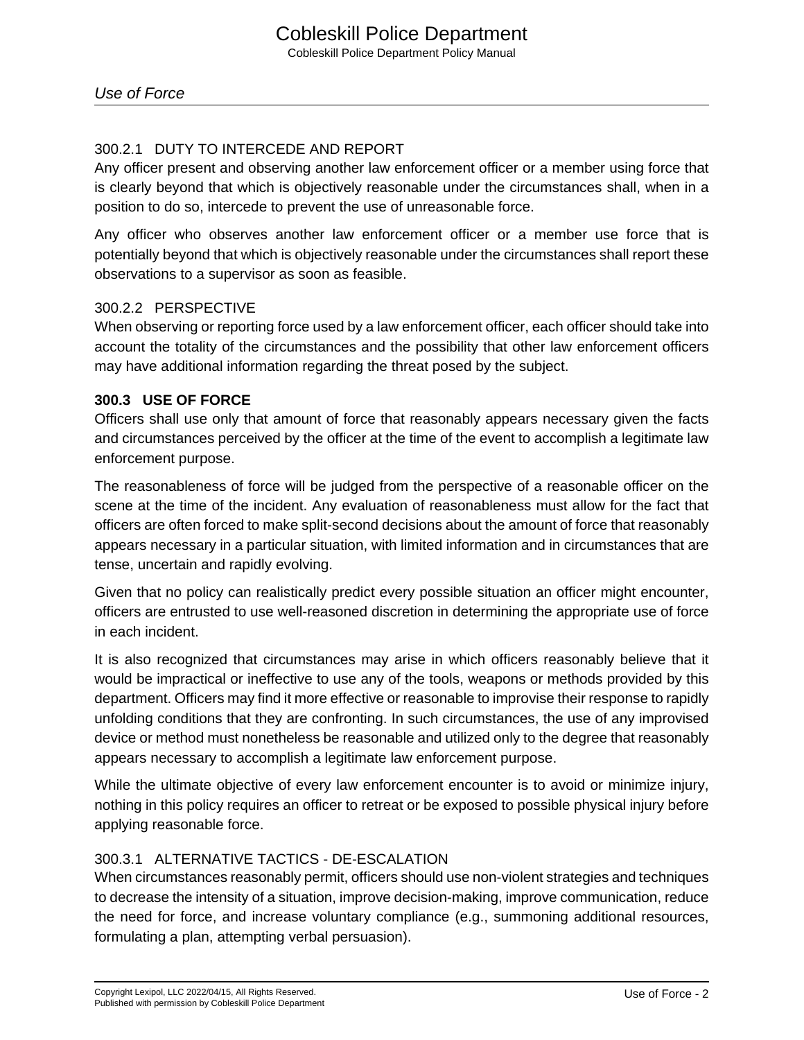## 300.2.1 DUTY TO INTERCEDE AND REPORT

Any officer present and observing another law enforcement officer or a member using force that is clearly beyond that which is objectively reasonable under the circumstances shall, when in a position to do so, intercede to prevent the use of unreasonable force.

Any officer who observes another law enforcement officer or a member use force that is potentially beyond that which is objectively reasonable under the circumstances shall report these observations to a supervisor as soon as feasible.

## 300.2.2 PERSPECTIVE

When observing or reporting force used by a law enforcement officer, each officer should take into account the totality of the circumstances and the possibility that other law enforcement officers may have additional information regarding the threat posed by the subject.

#### **300.3 USE OF FORCE**

Officers shall use only that amount of force that reasonably appears necessary given the facts and circumstances perceived by the officer at the time of the event to accomplish a legitimate law enforcement purpose.

The reasonableness of force will be judged from the perspective of a reasonable officer on the scene at the time of the incident. Any evaluation of reasonableness must allow for the fact that officers are often forced to make split-second decisions about the amount of force that reasonably appears necessary in a particular situation, with limited information and in circumstances that are tense, uncertain and rapidly evolving.

Given that no policy can realistically predict every possible situation an officer might encounter, officers are entrusted to use well-reasoned discretion in determining the appropriate use of force in each incident.

It is also recognized that circumstances may arise in which officers reasonably believe that it would be impractical or ineffective to use any of the tools, weapons or methods provided by this department. Officers may find it more effective or reasonable to improvise their response to rapidly unfolding conditions that they are confronting. In such circumstances, the use of any improvised device or method must nonetheless be reasonable and utilized only to the degree that reasonably appears necessary to accomplish a legitimate law enforcement purpose.

While the ultimate objective of every law enforcement encounter is to avoid or minimize injury, nothing in this policy requires an officer to retreat or be exposed to possible physical injury before applying reasonable force.

## 300.3.1 ALTERNATIVE TACTICS - DE-ESCALATION

When circumstances reasonably permit, officers should use non-violent strategies and techniques to decrease the intensity of a situation, improve decision-making, improve communication, reduce the need for force, and increase voluntary compliance (e.g., summoning additional resources, formulating a plan, attempting verbal persuasion).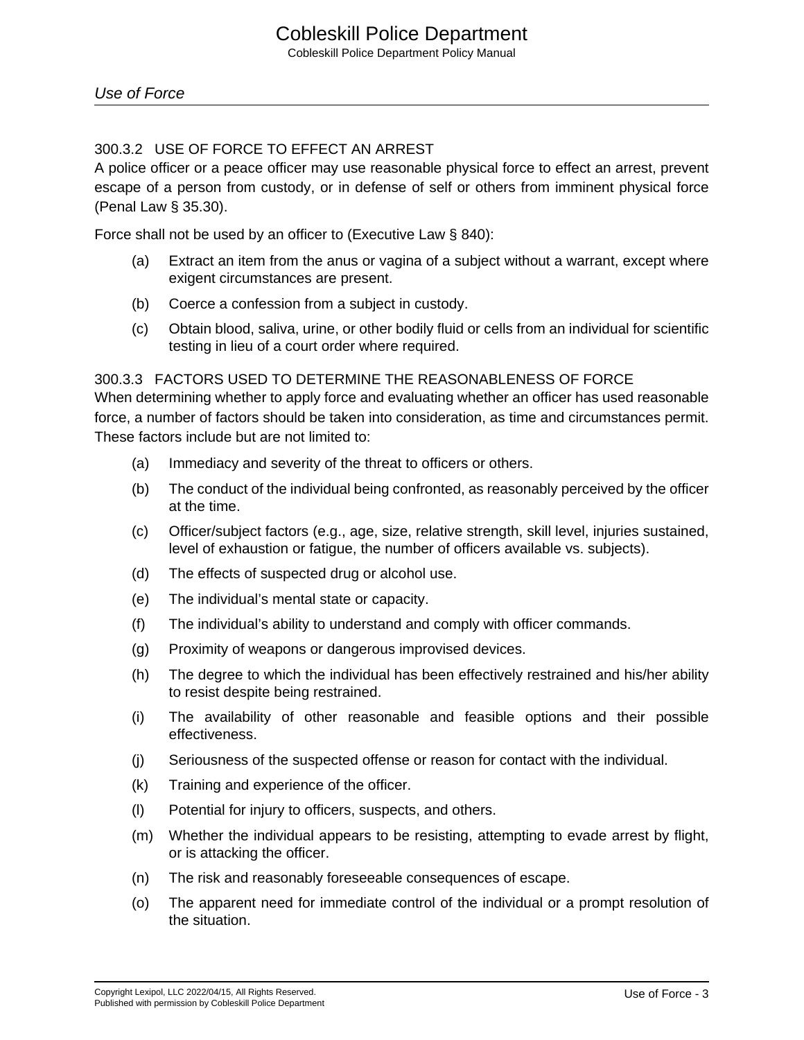## 300.3.2 USE OF FORCE TO EFFECT AN ARREST

A police officer or a peace officer may use reasonable physical force to effect an arrest, prevent escape of a person from custody, or in defense of self or others from imminent physical force (Penal Law § 35.30).

Force shall not be used by an officer to (Executive Law § 840):

- (a) Extract an item from the anus or vagina of a subject without a warrant, except where exigent circumstances are present.
- (b) Coerce a confession from a subject in custody.
- (c) Obtain blood, saliva, urine, or other bodily fluid or cells from an individual for scientific testing in lieu of a court order where required.

#### 300.3.3 FACTORS USED TO DETERMINE THE REASONABLENESS OF FORCE

When determining whether to apply force and evaluating whether an officer has used reasonable force, a number of factors should be taken into consideration, as time and circumstances permit. These factors include but are not limited to:

- (a) Immediacy and severity of the threat to officers or others.
- (b) The conduct of the individual being confronted, as reasonably perceived by the officer at the time.
- (c) Officer/subject factors (e.g., age, size, relative strength, skill level, injuries sustained, level of exhaustion or fatigue, the number of officers available vs. subjects).
- (d) The effects of suspected drug or alcohol use.
- (e) The individual's mental state or capacity.
- (f) The individual's ability to understand and comply with officer commands.
- (g) Proximity of weapons or dangerous improvised devices.
- (h) The degree to which the individual has been effectively restrained and his/her ability to resist despite being restrained.
- (i) The availability of other reasonable and feasible options and their possible effectiveness.
- (j) Seriousness of the suspected offense or reason for contact with the individual.
- (k) Training and experience of the officer.
- (l) Potential for injury to officers, suspects, and others.
- (m) Whether the individual appears to be resisting, attempting to evade arrest by flight, or is attacking the officer.
- (n) The risk and reasonably foreseeable consequences of escape.
- (o) The apparent need for immediate control of the individual or a prompt resolution of the situation.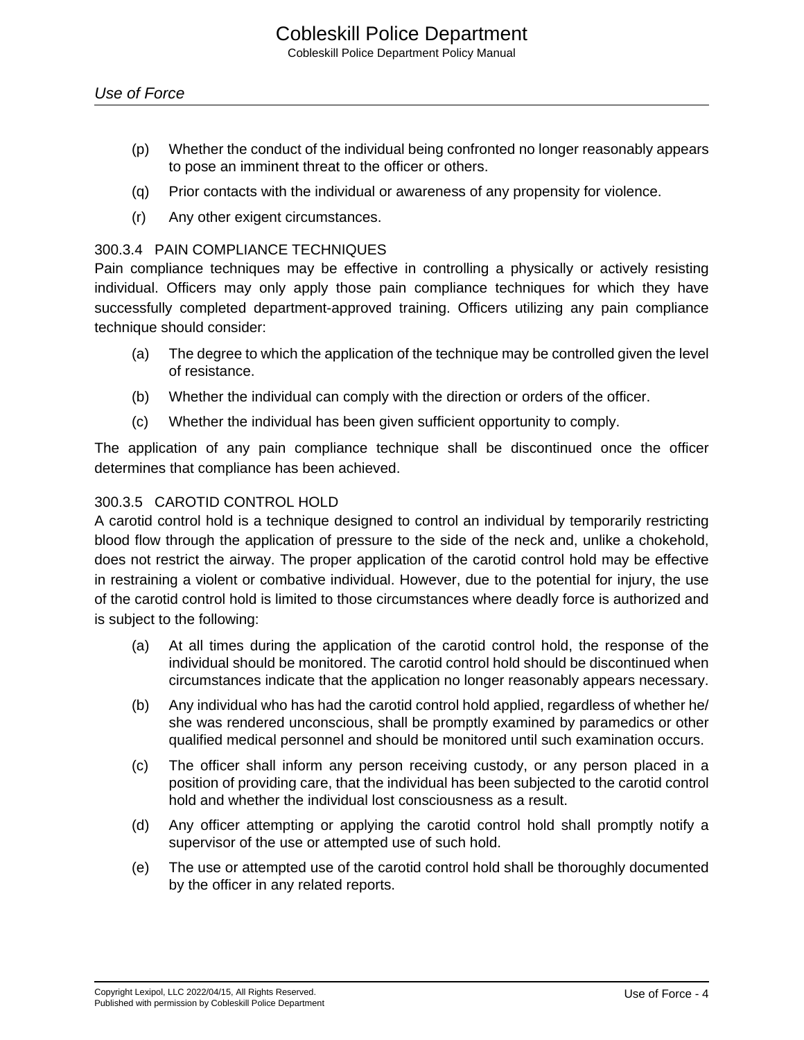- (p) Whether the conduct of the individual being confronted no longer reasonably appears to pose an imminent threat to the officer or others.
- (q) Prior contacts with the individual or awareness of any propensity for violence.
- (r) Any other exigent circumstances.

## 300.3.4 PAIN COMPLIANCE TECHNIQUES

Pain compliance techniques may be effective in controlling a physically or actively resisting individual. Officers may only apply those pain compliance techniques for which they have successfully completed department-approved training. Officers utilizing any pain compliance technique should consider:

- (a) The degree to which the application of the technique may be controlled given the level of resistance.
- (b) Whether the individual can comply with the direction or orders of the officer.
- (c) Whether the individual has been given sufficient opportunity to comply.

The application of any pain compliance technique shall be discontinued once the officer determines that compliance has been achieved.

## 300.3.5 CAROTID CONTROL HOLD

A carotid control hold is a technique designed to control an individual by temporarily restricting blood flow through the application of pressure to the side of the neck and, unlike a chokehold, does not restrict the airway. The proper application of the carotid control hold may be effective in restraining a violent or combative individual. However, due to the potential for injury, the use of the carotid control hold is limited to those circumstances where deadly force is authorized and is subject to the following:

- (a) At all times during the application of the carotid control hold, the response of the individual should be monitored. The carotid control hold should be discontinued when circumstances indicate that the application no longer reasonably appears necessary.
- (b) Any individual who has had the carotid control hold applied, regardless of whether he/ she was rendered unconscious, shall be promptly examined by paramedics or other qualified medical personnel and should be monitored until such examination occurs.
- (c) The officer shall inform any person receiving custody, or any person placed in a position of providing care, that the individual has been subjected to the carotid control hold and whether the individual lost consciousness as a result.
- (d) Any officer attempting or applying the carotid control hold shall promptly notify a supervisor of the use or attempted use of such hold.
- (e) The use or attempted use of the carotid control hold shall be thoroughly documented by the officer in any related reports.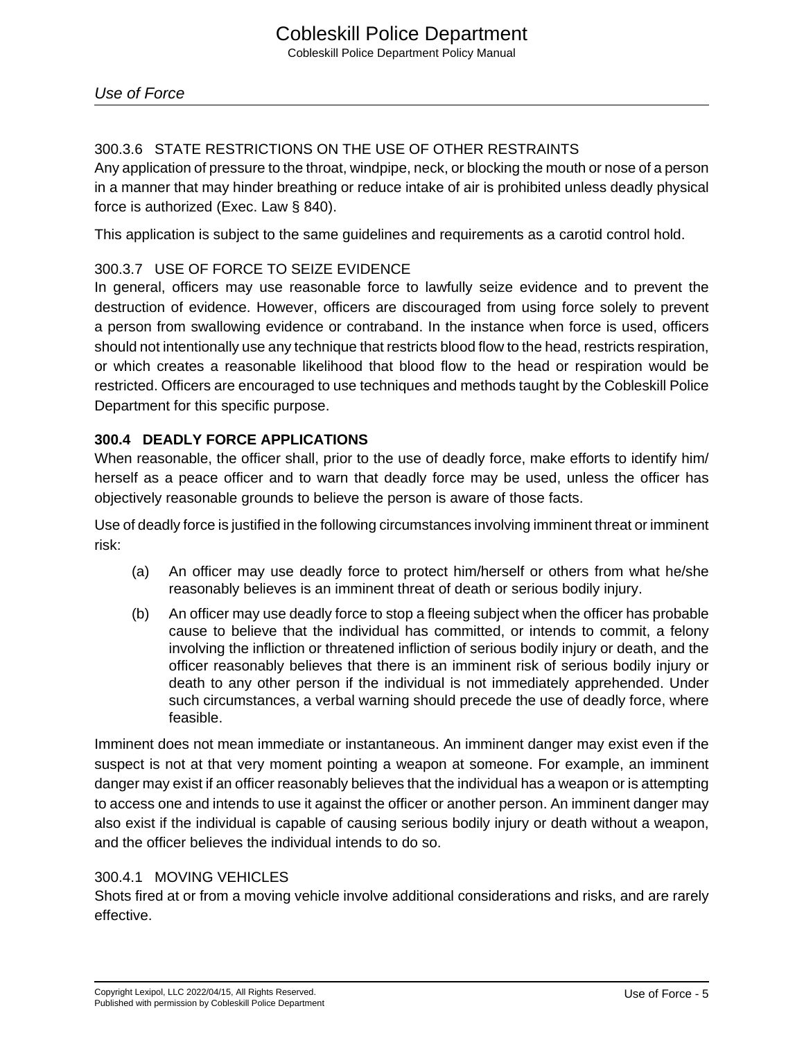# 300.3.6 STATE RESTRICTIONS ON THE USE OF OTHER RESTRAINTS

Any application of pressure to the throat, windpipe, neck, or blocking the mouth or nose of a person in a manner that may hinder breathing or reduce intake of air is prohibited unless deadly physical force is authorized (Exec. Law § 840).

This application is subject to the same guidelines and requirements as a carotid control hold.

## 300.3.7 USE OF FORCE TO SEIZE EVIDENCE

In general, officers may use reasonable force to lawfully seize evidence and to prevent the destruction of evidence. However, officers are discouraged from using force solely to prevent a person from swallowing evidence or contraband. In the instance when force is used, officers should not intentionally use any technique that restricts blood flow to the head, restricts respiration, or which creates a reasonable likelihood that blood flow to the head or respiration would be restricted. Officers are encouraged to use techniques and methods taught by the Cobleskill Police Department for this specific purpose.

## **300.4 DEADLY FORCE APPLICATIONS**

When reasonable, the officer shall, prior to the use of deadly force, make efforts to identify him/ herself as a peace officer and to warn that deadly force may be used, unless the officer has objectively reasonable grounds to believe the person is aware of those facts.

Use of deadly force is justified in the following circumstances involving imminent threat or imminent risk:

- (a) An officer may use deadly force to protect him/herself or others from what he/she reasonably believes is an imminent threat of death or serious bodily injury.
- (b) An officer may use deadly force to stop a fleeing subject when the officer has probable cause to believe that the individual has committed, or intends to commit, a felony involving the infliction or threatened infliction of serious bodily injury or death, and the officer reasonably believes that there is an imminent risk of serious bodily injury or death to any other person if the individual is not immediately apprehended. Under such circumstances, a verbal warning should precede the use of deadly force, where feasible.

Imminent does not mean immediate or instantaneous. An imminent danger may exist even if the suspect is not at that very moment pointing a weapon at someone. For example, an imminent danger may exist if an officer reasonably believes that the individual has a weapon or is attempting to access one and intends to use it against the officer or another person. An imminent danger may also exist if the individual is capable of causing serious bodily injury or death without a weapon, and the officer believes the individual intends to do so.

## 300.4.1 MOVING VEHICLES

Shots fired at or from a moving vehicle involve additional considerations and risks, and are rarely effective.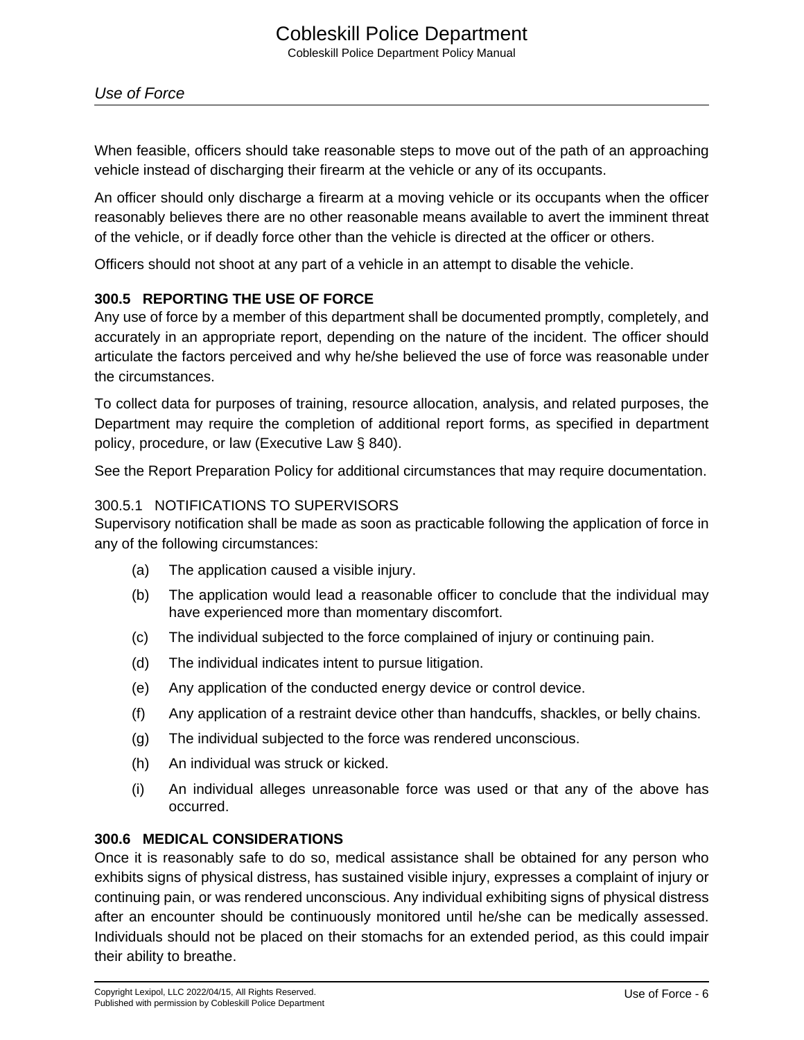When feasible, officers should take reasonable steps to move out of the path of an approaching vehicle instead of discharging their firearm at the vehicle or any of its occupants.

An officer should only discharge a firearm at a moving vehicle or its occupants when the officer reasonably believes there are no other reasonable means available to avert the imminent threat of the vehicle, or if deadly force other than the vehicle is directed at the officer or others.

Officers should not shoot at any part of a vehicle in an attempt to disable the vehicle.

## **300.5 REPORTING THE USE OF FORCE**

Any use of force by a member of this department shall be documented promptly, completely, and accurately in an appropriate report, depending on the nature of the incident. The officer should articulate the factors perceived and why he/she believed the use of force was reasonable under the circumstances.

To collect data for purposes of training, resource allocation, analysis, and related purposes, the Department may require the completion of additional report forms, as specified in department policy, procedure, or law (Executive Law § 840).

See the Report Preparation Policy for additional circumstances that may require documentation.

## 300.5.1 NOTIFICATIONS TO SUPERVISORS

Supervisory notification shall be made as soon as practicable following the application of force in any of the following circumstances:

- (a) The application caused a visible injury.
- (b) The application would lead a reasonable officer to conclude that the individual may have experienced more than momentary discomfort.
- (c) The individual subjected to the force complained of injury or continuing pain.
- (d) The individual indicates intent to pursue litigation.
- (e) Any application of the conducted energy device or control device.
- (f) Any application of a restraint device other than handcuffs, shackles, or belly chains.
- (g) The individual subjected to the force was rendered unconscious.
- (h) An individual was struck or kicked.
- (i) An individual alleges unreasonable force was used or that any of the above has occurred.

## **300.6 MEDICAL CONSIDERATIONS**

Once it is reasonably safe to do so, medical assistance shall be obtained for any person who exhibits signs of physical distress, has sustained visible injury, expresses a complaint of injury or continuing pain, or was rendered unconscious. Any individual exhibiting signs of physical distress after an encounter should be continuously monitored until he/she can be medically assessed. Individuals should not be placed on their stomachs for an extended period, as this could impair their ability to breathe.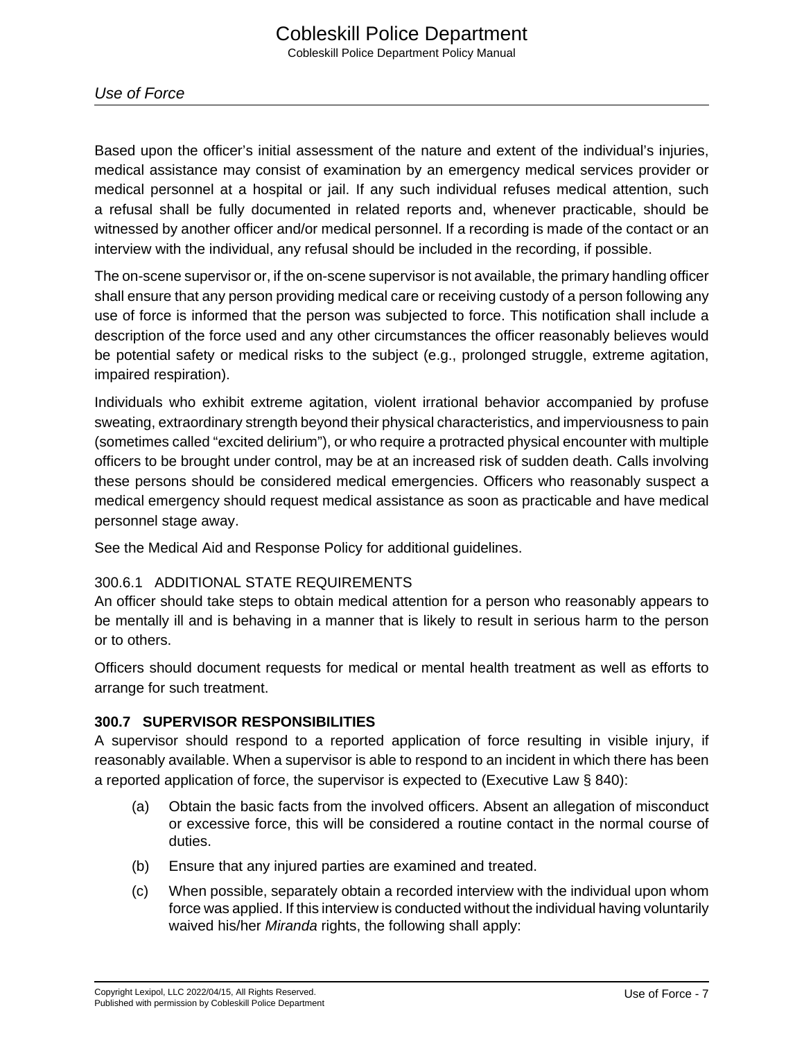Based upon the officer's initial assessment of the nature and extent of the individual's injuries, medical assistance may consist of examination by an emergency medical services provider or medical personnel at a hospital or jail. If any such individual refuses medical attention, such a refusal shall be fully documented in related reports and, whenever practicable, should be witnessed by another officer and/or medical personnel. If a recording is made of the contact or an interview with the individual, any refusal should be included in the recording, if possible.

The on-scene supervisor or, if the on-scene supervisor is not available, the primary handling officer shall ensure that any person providing medical care or receiving custody of a person following any use of force is informed that the person was subjected to force. This notification shall include a description of the force used and any other circumstances the officer reasonably believes would be potential safety or medical risks to the subject (e.g., prolonged struggle, extreme agitation, impaired respiration).

Individuals who exhibit extreme agitation, violent irrational behavior accompanied by profuse sweating, extraordinary strength beyond their physical characteristics, and imperviousness to pain (sometimes called "excited delirium"), or who require a protracted physical encounter with multiple officers to be brought under control, may be at an increased risk of sudden death. Calls involving these persons should be considered medical emergencies. Officers who reasonably suspect a medical emergency should request medical assistance as soon as practicable and have medical personnel stage away.

See the Medical Aid and Response Policy for additional guidelines.

## 300.6.1 ADDITIONAL STATE REQUIREMENTS

An officer should take steps to obtain medical attention for a person who reasonably appears to be mentally ill and is behaving in a manner that is likely to result in serious harm to the person or to others.

Officers should document requests for medical or mental health treatment as well as efforts to arrange for such treatment.

## **300.7 SUPERVISOR RESPONSIBILITIES**

A supervisor should respond to a reported application of force resulting in visible injury, if reasonably available. When a supervisor is able to respond to an incident in which there has been a reported application of force, the supervisor is expected to (Executive Law § 840):

- (a) Obtain the basic facts from the involved officers. Absent an allegation of misconduct or excessive force, this will be considered a routine contact in the normal course of duties.
- (b) Ensure that any injured parties are examined and treated.
- (c) When possible, separately obtain a recorded interview with the individual upon whom force was applied. If this interview is conducted without the individual having voluntarily waived his/her Miranda rights, the following shall apply: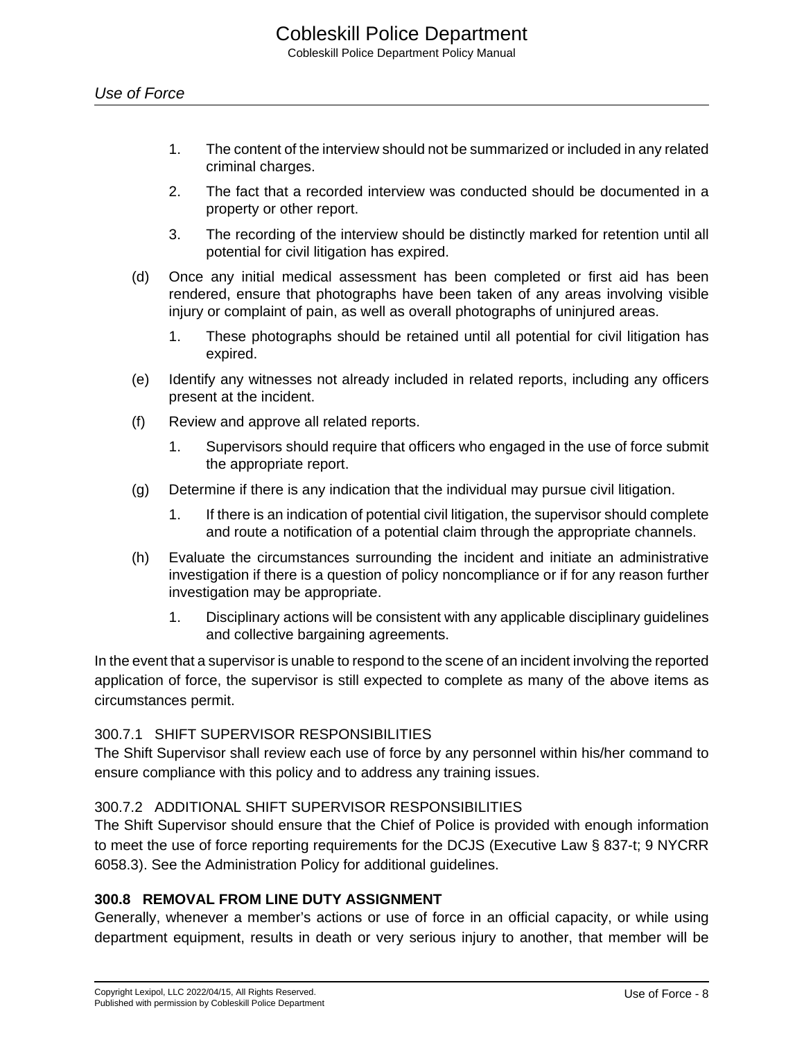- 1. The content of the interview should not be summarized or included in any related criminal charges.
- 2. The fact that a recorded interview was conducted should be documented in a property or other report.
- 3. The recording of the interview should be distinctly marked for retention until all potential for civil litigation has expired.
- (d) Once any initial medical assessment has been completed or first aid has been rendered, ensure that photographs have been taken of any areas involving visible injury or complaint of pain, as well as overall photographs of uninjured areas.
	- 1. These photographs should be retained until all potential for civil litigation has expired.
- (e) Identify any witnesses not already included in related reports, including any officers present at the incident.
- (f) Review and approve all related reports.
	- 1. Supervisors should require that officers who engaged in the use of force submit the appropriate report.
- (g) Determine if there is any indication that the individual may pursue civil litigation.
	- 1. If there is an indication of potential civil litigation, the supervisor should complete and route a notification of a potential claim through the appropriate channels.
- (h) Evaluate the circumstances surrounding the incident and initiate an administrative investigation if there is a question of policy noncompliance or if for any reason further investigation may be appropriate.
	- 1. Disciplinary actions will be consistent with any applicable disciplinary guidelines and collective bargaining agreements.

In the event that a supervisor is unable to respond to the scene of an incident involving the reported application of force, the supervisor is still expected to complete as many of the above items as circumstances permit.

## 300.7.1 SHIFT SUPERVISOR RESPONSIBILITIES

The Shift Supervisor shall review each use of force by any personnel within his/her command to ensure compliance with this policy and to address any training issues.

## 300.7.2 ADDITIONAL SHIFT SUPERVISOR RESPONSIBILITIES

The Shift Supervisor should ensure that the Chief of Police is provided with enough information to meet the use of force reporting requirements for the DCJS (Executive Law § 837-t; 9 NYCRR 6058.3). See the Administration Policy for additional guidelines.

## **300.8 REMOVAL FROM LINE DUTY ASSIGNMENT**

Generally, whenever a member's actions or use of force in an official capacity, or while using department equipment, results in death or very serious injury to another, that member will be